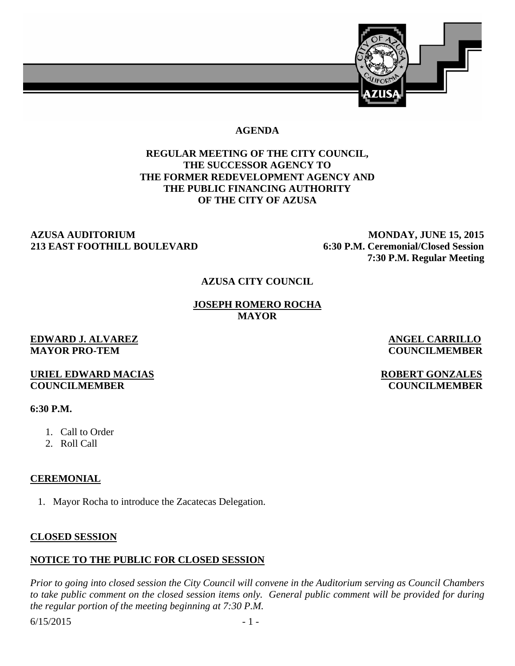

### **AGENDA**

# **REGULAR MEETING OF THE CITY COUNCIL, THE SUCCESSOR AGENCY TO THE FORMER REDEVELOPMENT AGENCY AND THE PUBLIC FINANCING AUTHORITY OF THE CITY OF AZUSA**

#### **AZUSA AUDITORIUM MONDAY, JUNE 15, 2015 213 EAST FOOTHILL BOULEVARD 6:30 P.M. Ceremonial/Closed Session**

 **7:30 P.M. Regular Meeting** 

#### **AZUSA CITY COUNCIL**

**JOSEPH ROMERO ROCHA MAYOR** 

#### **EDWARD J. ALVAREZ ANGEL CARRILLO MAYOR PRO-TEM COUNCILMEMBER**

### **URIEL EDWARD MACIAS** ROBERT GONZALES **COUNCILMEMBER COUNCILMEMBER**

### **6:30 P.M.**

- 1. Call to Order
- 2. Roll Call

# **CEREMONIAL**

1. Mayor Rocha to introduce the Zacatecas Delegation.

# **CLOSED SESSION**

# **NOTICE TO THE PUBLIC FOR CLOSED SESSION**

*Prior to going into closed session the City Council will convene in the Auditorium serving as Council Chambers to take public comment on the closed session items only. General public comment will be provided for during the regular portion of the meeting beginning at 7:30 P.M.* 

 $6/15/2015$  - 1 -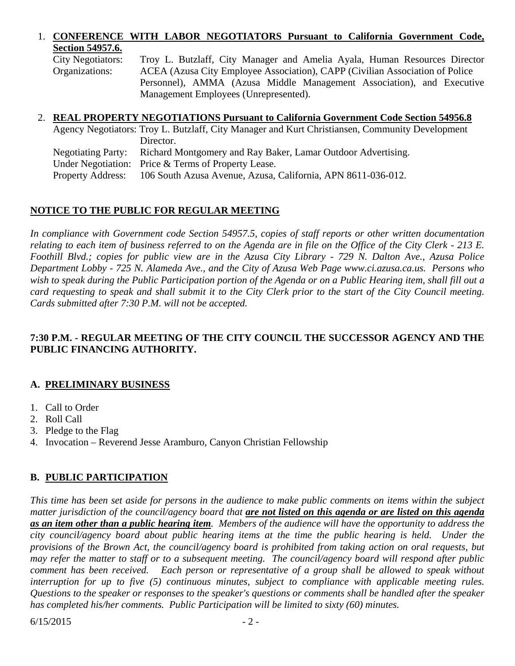# 1. **CONFERENCE WITH LABOR NEGOTIATORS Pursuant to California Government Code, Section 54957.6.**

City Negotiators: Troy L. Butzlaff, City Manager and Amelia Ayala, Human Resources Director Organizations: ACEA (Azusa City Employee Association), CAPP (Civilian Association of Police Personnel), AMMA (Azusa Middle Management Association), and Executive Management Employees (Unrepresented).

### 2. **REAL PROPERTY NEGOTIATIONS Pursuant to California Government Code Section 54956.8**

|                          | Agency Negotiators: Troy L. Butzlaff, City Manager and Kurt Christiansen, Community Development |
|--------------------------|-------------------------------------------------------------------------------------------------|
|                          | Director.                                                                                       |
|                          | Negotiating Party: Richard Montgomery and Ray Baker, Lamar Outdoor Advertising.                 |
|                          | Under Negotiation: Price & Terms of Property Lease.                                             |
| <b>Property Address:</b> | 106 South Azusa Avenue, Azusa, California, APN 8611-036-012.                                    |

# **NOTICE TO THE PUBLIC FOR REGULAR MEETING**

*In compliance with Government code Section 54957.5, copies of staff reports or other written documentation relating to each item of business referred to on the Agenda are in file on the Office of the City Clerk - 213 E. Foothill Blvd.; copies for public view are in the Azusa City Library - 729 N. Dalton Ave., Azusa Police Department Lobby - 725 N. Alameda Ave., and the City of Azusa Web Page www.ci.azusa.ca.us. Persons who*  wish to speak during the Public Participation portion of the Agenda or on a Public Hearing item, shall fill out a *card requesting to speak and shall submit it to the City Clerk prior to the start of the City Council meeting. Cards submitted after 7:30 P.M. will not be accepted.* 

# **7:30 P.M. - REGULAR MEETING OF THE CITY COUNCIL THE SUCCESSOR AGENCY AND THE PUBLIC FINANCING AUTHORITY.**

# **A. PRELIMINARY BUSINESS**

- 1. Call to Order
- 2. Roll Call
- 3. Pledge to the Flag
- 4. Invocation Reverend Jesse Aramburo, Canyon Christian Fellowship

# **B. PUBLIC PARTICIPATION**

*This time has been set aside for persons in the audience to make public comments on items within the subject matter jurisdiction of the council/agency board that are not listed on this agenda or are listed on this agenda as an item other than a public hearing item. Members of the audience will have the opportunity to address the city council/agency board about public hearing items at the time the public hearing is held. Under the provisions of the Brown Act, the council/agency board is prohibited from taking action on oral requests, but may refer the matter to staff or to a subsequent meeting. The council/agency board will respond after public comment has been received. Each person or representative of a group shall be allowed to speak without interruption for up to five (5) continuous minutes, subject to compliance with applicable meeting rules. Questions to the speaker or responses to the speaker's questions or comments shall be handled after the speaker has completed his/her comments. Public Participation will be limited to sixty (60) minutes.*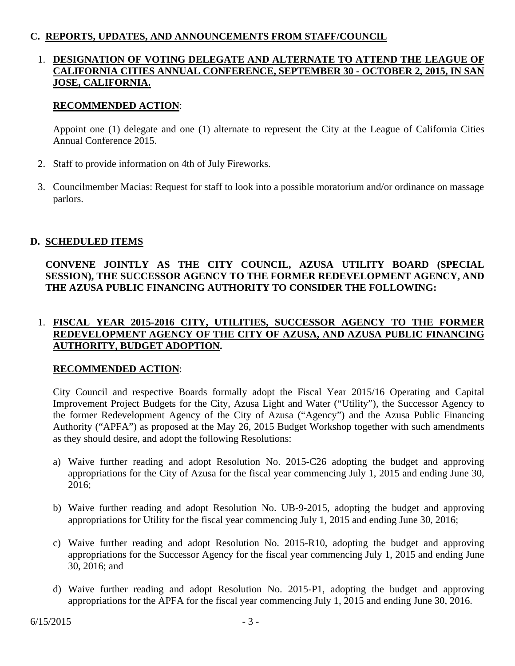### **C. REPORTS, UPDATES, AND ANNOUNCEMENTS FROM STAFF/COUNCIL**

### 1. **DESIGNATION OF VOTING DELEGATE AND ALTERNATE TO ATTEND THE LEAGUE OF CALIFORNIA CITIES ANNUAL CONFERENCE, SEPTEMBER 30 - OCTOBER 2, 2015, IN SAN JOSE, CALIFORNIA.**

### **RECOMMENDED ACTION**:

Appoint one (1) delegate and one (1) alternate to represent the City at the League of California Cities Annual Conference 2015.

- 2. Staff to provide information on 4th of July Fireworks.
- 3. Councilmember Macias: Request for staff to look into a possible moratorium and/or ordinance on massage parlors.

### **D. SCHEDULED ITEMS**

# **CONVENE JOINTLY AS THE CITY COUNCIL, AZUSA UTILITY BOARD (SPECIAL SESSION), THE SUCCESSOR AGENCY TO THE FORMER REDEVELOPMENT AGENCY, AND THE AZUSA PUBLIC FINANCING AUTHORITY TO CONSIDER THE FOLLOWING:**

# 1. **FISCAL YEAR 2015-2016 CITY, UTILITIES, SUCCESSOR AGENCY TO THE FORMER REDEVELOPMENT AGENCY OF THE CITY OF AZUSA, AND AZUSA PUBLIC FINANCING AUTHORITY, BUDGET ADOPTION.**

#### **RECOMMENDED ACTION**:

 City Council and respective Boards formally adopt the Fiscal Year 2015/16 Operating and Capital Improvement Project Budgets for the City, Azusa Light and Water ("Utility"), the Successor Agency to the former Redevelopment Agency of the City of Azusa ("Agency") and the Azusa Public Financing Authority ("APFA") as proposed at the May 26, 2015 Budget Workshop together with such amendments as they should desire, and adopt the following Resolutions:

- a) Waive further reading and adopt Resolution No. 2015-C26 adopting the budget and approving appropriations for the City of Azusa for the fiscal year commencing July 1, 2015 and ending June 30, 2016;
- b) Waive further reading and adopt Resolution No. UB-9-2015, adopting the budget and approving appropriations for Utility for the fiscal year commencing July 1, 2015 and ending June 30, 2016;
- c) Waive further reading and adopt Resolution No. 2015-R10, adopting the budget and approving appropriations for the Successor Agency for the fiscal year commencing July 1, 2015 and ending June 30, 2016; and
- d) Waive further reading and adopt Resolution No. 2015-P1, adopting the budget and approving appropriations for the APFA for the fiscal year commencing July 1, 2015 and ending June 30, 2016.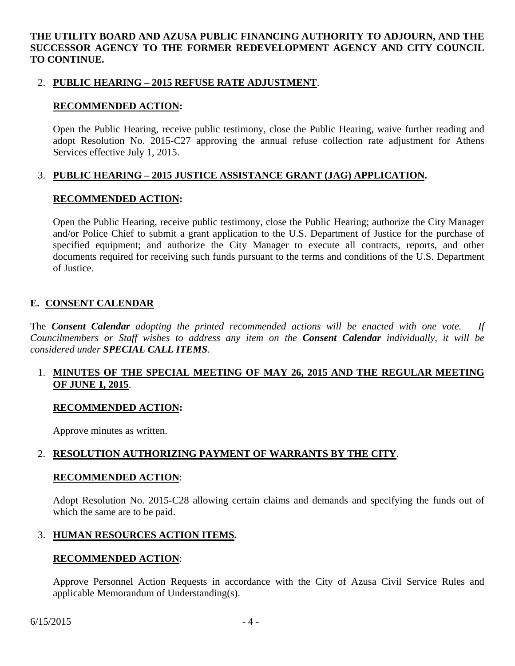**THE UTILITY BOARD AND AZUSA PUBLIC FINANCING AUTHORITY TO ADJOURN, AND THE SUCCESSOR AGENCY TO THE FORMER REDEVELOPMENT AGENCY AND CITY COUNCIL TO CONTINUE.** 

### 2. **PUBLIC HEARING – 2015 REFUSE RATE ADJUSTMENT**.

### **RECOMMENDED ACTION:**

 Open the Public Hearing, receive public testimony, close the Public Hearing, waive further reading and adopt Resolution No. 2015-C27 approving the annual refuse collection rate adjustment for Athens Services effective July 1, 2015.

# 3. **PUBLIC HEARING – 2015 JUSTICE ASSISTANCE GRANT (JAG) APPLICATION.**

### **RECOMMENDED ACTION:**

Open the Public Hearing, receive public testimony, close the Public Hearing; authorize the City Manager and/or Police Chief to submit a grant application to the U.S. Department of Justice for the purchase of specified equipment; and authorize the City Manager to execute all contracts, reports, and other documents required for receiving such funds pursuant to the terms and conditions of the U.S. Department of Justice.

# **E. CONSENT CALENDAR**

The *Consent Calendar adopting the printed recommended actions will be enacted with one vote. If Councilmembers or Staff wishes to address any item on the Consent Calendar individually, it will be considered under SPECIAL CALL ITEMS.* 

# 1. **MINUTES OF THE SPECIAL MEETING OF MAY 26, 2015 AND THE REGULAR MEETING OF JUNE 1, 2015**.

#### **RECOMMENDED ACTION:**

Approve minutes as written.

# 2. **RESOLUTION AUTHORIZING PAYMENT OF WARRANTS BY THE CITY**.

#### **RECOMMENDED ACTION**:

Adopt Resolution No. 2015-C28 allowing certain claims and demands and specifying the funds out of which the same are to be paid.

# 3. **HUMAN RESOURCES ACTION ITEMS.**

#### **RECOMMENDED ACTION**:

Approve Personnel Action Requests in accordance with the City of Azusa Civil Service Rules and applicable Memorandum of Understanding(s).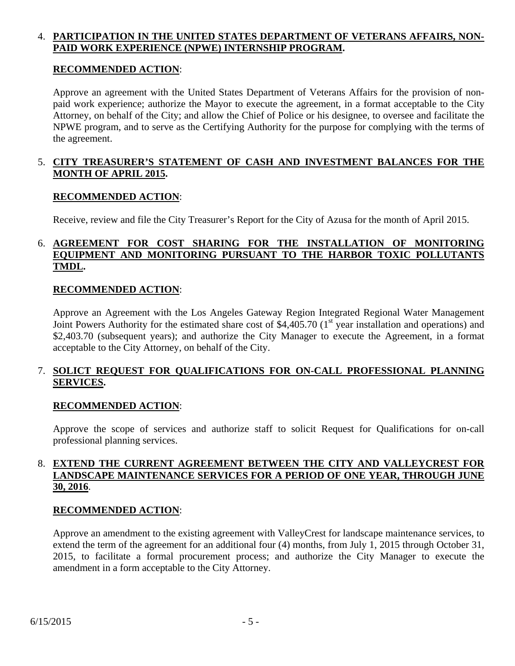## 4. **PARTICIPATION IN THE UNITED STATES DEPARTMENT OF VETERANS AFFAIRS, NON-PAID WORK EXPERIENCE (NPWE) INTERNSHIP PROGRAM.**

### **RECOMMENDED ACTION**:

Approve an agreement with the United States Department of Veterans Affairs for the provision of nonpaid work experience; authorize the Mayor to execute the agreement, in a format acceptable to the City Attorney, on behalf of the City; and allow the Chief of Police or his designee, to oversee and facilitate the NPWE program, and to serve as the Certifying Authority for the purpose for complying with the terms of the agreement.

# 5. **CITY TREASURER'S STATEMENT OF CASH AND INVESTMENT BALANCES FOR THE MONTH OF APRIL 2015.**

### **RECOMMENDED ACTION**:

Receive, review and file the City Treasurer's Report for the City of Azusa for the month of April 2015.

# 6. **AGREEMENT FOR COST SHARING FOR THE INSTALLATION OF MONITORING EQUIPMENT AND MONITORING PURSUANT TO THE HARBOR TOXIC POLLUTANTS TMDL.**

#### **RECOMMENDED ACTION**:

Approve an Agreement with the Los Angeles Gateway Region Integrated Regional Water Management Joint Powers Authority for the estimated share cost of \$4,405.70 ( $1<sup>st</sup>$  year installation and operations) and \$2,403.70 (subsequent years); and authorize the City Manager to execute the Agreement, in a format acceptable to the City Attorney, on behalf of the City.

# 7. **SOLICT REQUEST FOR QUALIFICATIONS FOR ON-CALL PROFESSIONAL PLANNING SERVICES.**

#### **RECOMMENDED ACTION**:

Approve the scope of services and authorize staff to solicit Request for Qualifications for on-call professional planning services.

# 8. **EXTEND THE CURRENT AGREEMENT BETWEEN THE CITY AND VALLEYCREST FOR LANDSCAPE MAINTENANCE SERVICES FOR A PERIOD OF ONE YEAR, THROUGH JUNE 30, 2016**.

#### **RECOMMENDED ACTION**:

Approve an amendment to the existing agreement with ValleyCrest for landscape maintenance services, to extend the term of the agreement for an additional four (4) months, from July 1, 2015 through October 31, 2015, to facilitate a formal procurement process; and authorize the City Manager to execute the amendment in a form acceptable to the City Attorney.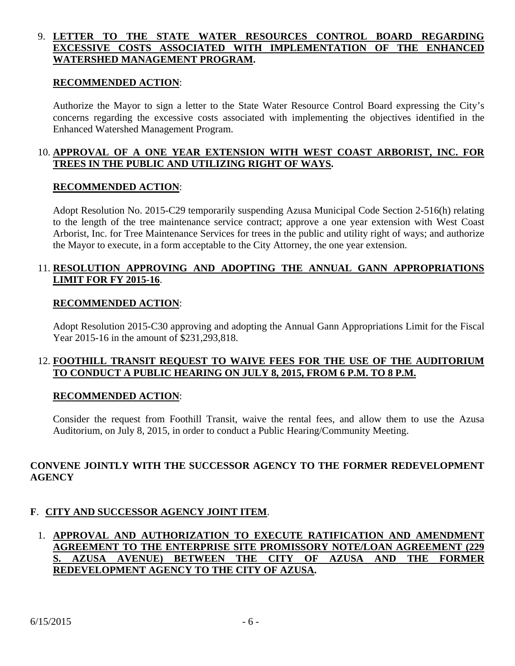# 9. **LETTER TO THE STATE WATER RESOURCES CONTROL BOARD REGARDING EXCESSIVE COSTS ASSOCIATED WITH IMPLEMENTATION OF THE ENHANCED WATERSHED MANAGEMENT PROGRAM.**

#### **RECOMMENDED ACTION**:

Authorize the Mayor to sign a letter to the State Water Resource Control Board expressing the City's concerns regarding the excessive costs associated with implementing the objectives identified in the Enhanced Watershed Management Program.

### 10. **APPROVAL OF A ONE YEAR EXTENSION WITH WEST COAST ARBORIST, INC. FOR TREES IN THE PUBLIC AND UTILIZING RIGHT OF WAYS.**

#### **RECOMMENDED ACTION**:

Adopt Resolution No. 2015-C29 temporarily suspending Azusa Municipal Code Section 2-516(h) relating to the length of the tree maintenance service contract; approve a one year extension with West Coast Arborist, Inc. for Tree Maintenance Services for trees in the public and utility right of ways; and authorize the Mayor to execute, in a form acceptable to the City Attorney, the one year extension.

### 11. **RESOLUTION APPROVING AND ADOPTING THE ANNUAL GANN APPROPRIATIONS LIMIT FOR FY 2015-16**.

#### **RECOMMENDED ACTION**:

 Adopt Resolution 2015-C30 approving and adopting the Annual Gann Appropriations Limit for the Fiscal Year 2015-16 in the amount of \$231,293,818.

# 12. **FOOTHILL TRANSIT REQUEST TO WAIVE FEES FOR THE USE OF THE AUDITORIUM TO CONDUCT A PUBLIC HEARING ON JULY 8, 2015, FROM 6 P.M. TO 8 P.M.**

#### **RECOMMENDED ACTION**:

 Consider the request from Foothill Transit, waive the rental fees, and allow them to use the Azusa Auditorium, on July 8, 2015, in order to conduct a Public Hearing/Community Meeting.

### **CONVENE JOINTLY WITH THE SUCCESSOR AGENCY TO THE FORMER REDEVELOPMENT AGENCY**

# **F**. **CITY AND SUCCESSOR AGENCY JOINT ITEM**.

# 1. **APPROVAL AND AUTHORIZATION TO EXECUTE RATIFICATION AND AMENDMENT AGREEMENT TO THE ENTERPRISE SITE PROMISSORY NOTE/LOAN AGREEMENT (229 S. AZUSA AVENUE) BETWEEN THE CITY OF AZUSA AND THE FORMER REDEVELOPMENT AGENCY TO THE CITY OF AZUSA.**